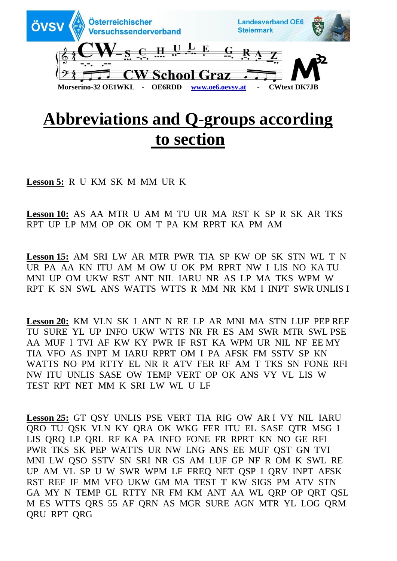

## **Abbreviations and Q-groups according to section**

**Lesson 5:** R U KM SK M MM UR K

**Lesson 10:** AS AA MTR U AM M TU UR MA RST K SP R SK AR TKS RPT UP LP MM OP OK OM T PA KM RPRT KA PM AM

**Lesson 15:** AM SRI LW AR MTR PWR TIA SP KW OP SK STN WL T N UR PA AA KN ITU AM M OW U OK PM RPRT NW I LIS NO KA TU MNI UP OM UKW RST ANT NIL IARU NR AS LP MA TKS WPM W RPT K SN SWL ANS WATTS WTTS R MM NR KM I INPT SWR UNLIS I

**Lesson 20:** KM VLN SK I ANT N RE LP AR MNI MA STN LUF PEP REF TU SURE YL UP INFO UKW WTTS NR FR ES AM SWR MTR SWL PSE AA MUF I TVI AF KW KY PWR IF RST KA WPM UR NIL NF EE MY TIA VFO AS INPT M IARU RPRT OM I PA AFSK FM SSTV SP KN WATTS NO PM RTTY EL NR R ATV FER RF AM T TKS SN FONE RFI NW ITU UNLIS SASE OW TEMP VERT OP OK ANS VY VL LIS W TEST RPT NET MM K SRI LW WL U LF

**Lesson 25:** GT QSY UNLIS PSE VERT TIA RIG OW AR I VY NIL IARU QRO TU QSK VLN KY QRA OK WKG FER ITU EL SASE QTR MSG I LIS QRQ LP QRL RF KA PA INFO FONE FR RPRT KN NO GE RFI PWR TKS SK PEP WATTS UR NW LNG ANS EE MUF QST GN TVI MNI LW QSO SSTV SN SRI NR GS AM LUF GP NF R OM K SWL RE UP AM VL SP U W SWR WPM LF FREQ NET QSP I QRV INPT AFSK RST REF IF MM VFO UKW GM MA TEST T KW SIGS PM ATV STN GA MY N TEMP GL RTTY NR FM KM ANT AA WL QRP OP QRT QSL M ES WTTS QRS 55 AF QRN AS MGR SURE AGN MTR YL LOG QRM QRU RPT QRG